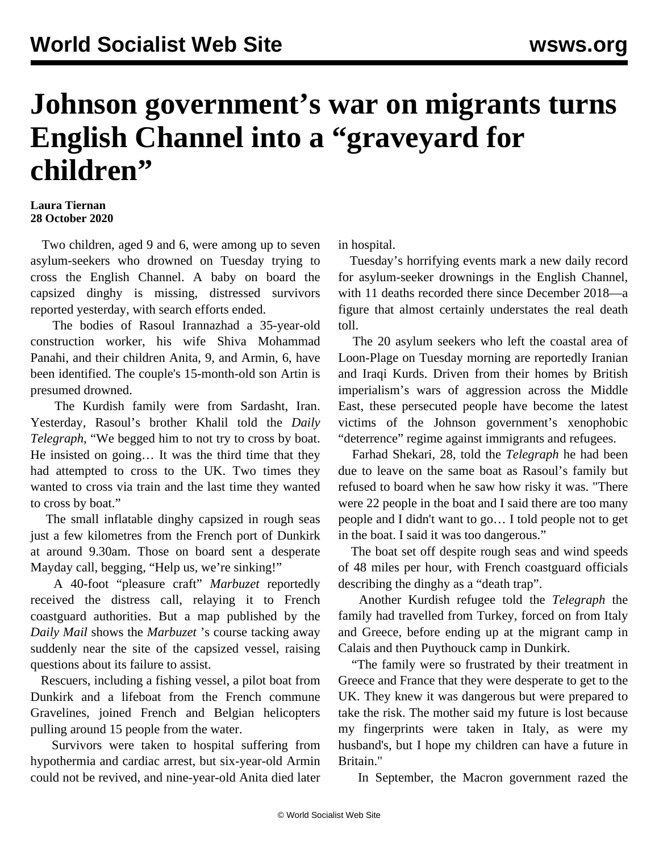## **Johnson government's war on migrants turns English Channel into a "graveyard for children"**

## **Laura Tiernan 28 October 2020**

 Two children, aged 9 and 6, were among up to seven asylum-seekers who drowned on Tuesday trying to cross the English Channel. A baby on board the capsized dinghy is missing, distressed survivors reported yesterday, with search efforts ended.

 The bodies of Rasoul Irannazhad a 35-year-old construction worker, his wife Shiva Mohammad Panahi, and their children Anita, 9, and Armin, 6, have been identified. The couple's 15-month-old son Artin is presumed drowned.

 The Kurdish family were from Sardasht, Iran. Yesterday, Rasoul's brother Khalil told the *Daily Telegraph*, "We begged him to not try to cross by boat. He insisted on going… It was the third time that they had attempted to cross to the UK. Two times they wanted to cross via train and the last time they wanted to cross by boat."

 The small inflatable dinghy capsized in rough seas just a few kilometres from the French port of Dunkirk at around 9.30am. Those on board sent a desperate Mayday call, begging, "Help us, we're sinking!"

 A 40-foot "pleasure craft" *Marbuzet* reportedly received the distress call, relaying it to French coastguard authorities. But a map published by the *Daily Mail* shows the *Marbuzet* 's course tacking away suddenly near the site of the capsized vessel, raising questions about its failure to assist.

 Rescuers, including a fishing vessel, a pilot boat from Dunkirk and a lifeboat from the French commune Gravelines, joined French and Belgian helicopters pulling around 15 people from the water.

 Survivors were taken to hospital suffering from hypothermia and cardiac arrest, but six-year-old Armin could not be revived, and nine-year-old Anita died later in hospital.

 Tuesday's horrifying events mark a new daily record for asylum-seeker drownings in the English Channel, with 11 deaths recorded there since December 2018—a figure that almost certainly understates the real death toll.

 The 20 asylum seekers who left the coastal area of Loon-Plage on Tuesday morning are reportedly Iranian and Iraqi Kurds. Driven from their homes by British imperialism's wars of aggression across the Middle East, these persecuted people have become the latest victims of the Johnson government's xenophobic "deterrence" regime against immigrants and refugees.

 Farhad Shekari, 28, told the *Telegraph* he had been due to leave on the same boat as Rasoul's family but refused to board when he saw how risky it was. "There were 22 people in the boat and I said there are too many people and I didn't want to go… I told people not to get in the boat. I said it was too dangerous."

 The boat set off despite rough seas and wind speeds of 48 miles per hour, with French coastguard officials describing the dinghy as a "death trap".

 Another Kurdish refugee told the *Telegraph* the family had travelled from Turkey, forced on from Italy and Greece, before ending up at the migrant camp in Calais and then Puythouck camp in Dunkirk.

 "The family were so frustrated by their treatment in Greece and France that they were desperate to get to the UK. They knew it was dangerous but were prepared to take the risk. The mother said my future is lost because my fingerprints were taken in Italy, as were my husband's, but I hope my children can have a future in Britain."

In September, the Macron government razed the